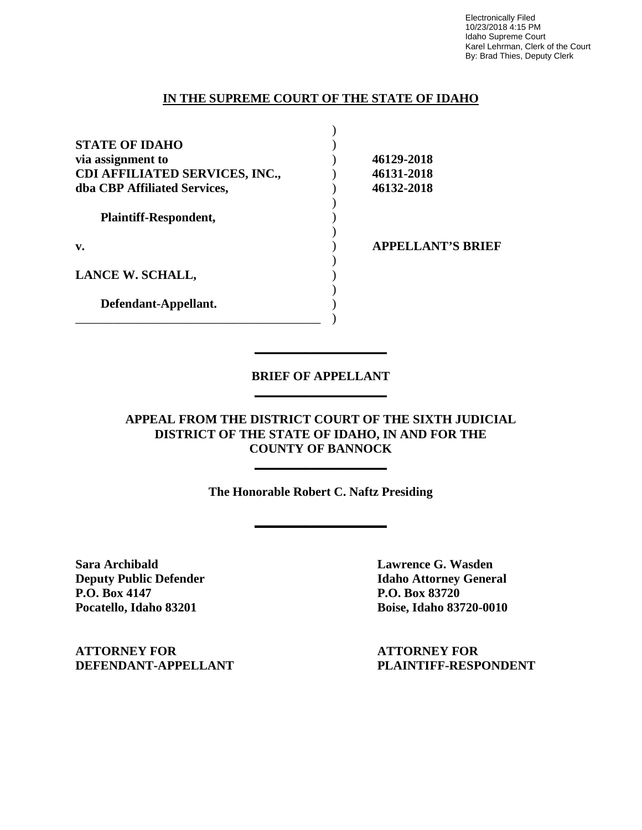Electronically Filed 10/23/2018 4:15 PM Idaho Supreme Court Karel Lehrman, Clerk of the Court By: Brad Thies, Deputy Clerk

## **IN THE SUPREME COURT OF THE STATE OF IDAHO**

| <b>STATE OF IDAHO</b>                 |                          |
|---------------------------------------|--------------------------|
| via assignment to                     | 46129-2018               |
| <b>CDI AFFILIATED SERVICES, INC.,</b> | 46131-2018               |
| dba CBP Affiliated Services,          | 46132-2018               |
| <b>Plaintiff-Respondent,</b>          |                          |
| v.                                    | <b>APPELLANT'S BRIEF</b> |
| LANCE W. SCHALL,                      |                          |
| Defendant-Appellant.                  |                          |
|                                       |                          |

# **BRIEF OF APPELLANT \_\_\_\_\_\_\_\_\_\_\_\_\_\_\_\_\_\_\_\_\_**

**\_\_\_\_\_\_\_\_\_\_\_\_\_\_\_\_\_\_\_\_\_** 

**APPEAL FROM THE DISTRICT COURT OF THE SIXTH JUDICIAL DISTRICT OF THE STATE OF IDAHO, IN AND FOR THE COUNTY OF BANNOCK**

**\_\_\_\_\_\_\_\_\_\_\_\_\_\_\_\_\_\_\_\_\_** 

**The Honorable Robert C. Naftz Presiding**

**\_\_\_\_\_\_\_\_\_\_\_\_\_\_\_\_\_\_\_\_\_** 

**Sara Archibald Lawrence G. Wasden P.O. Box 4147 P.O. Box 83720** 

**Deputy Public Defender Idaho Attorney General Pocatello, Idaho 83201 Boise, Idaho 83720-0010** 

**ATTORNEY FOR ATTORNEY FOR**

**DEFENDANT-APPELLANT PLAINTIFF-RESPONDENT**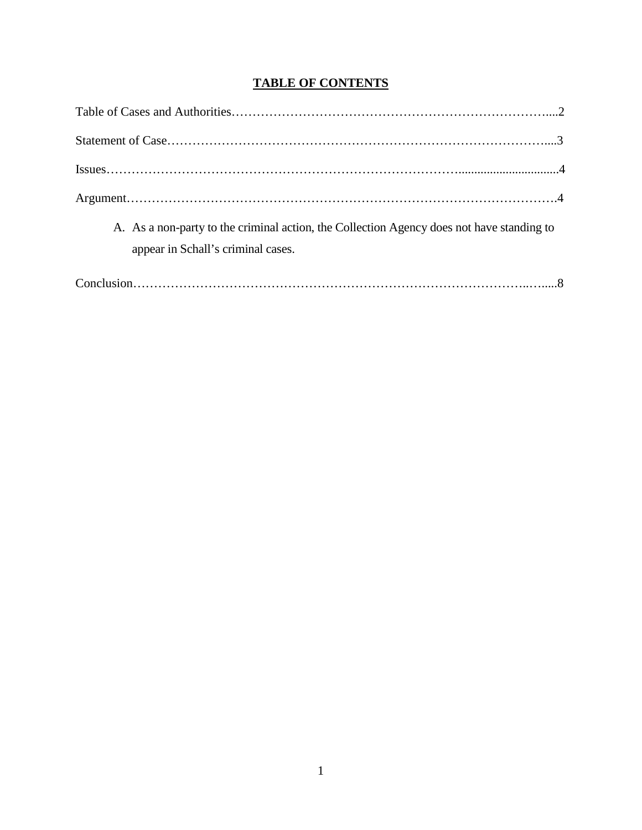# **TABLE OF CONTENTS**

| A. As a non-party to the criminal action, the Collection Agency does not have standing to |
|-------------------------------------------------------------------------------------------|
| appear in Schall's criminal cases.                                                        |
|                                                                                           |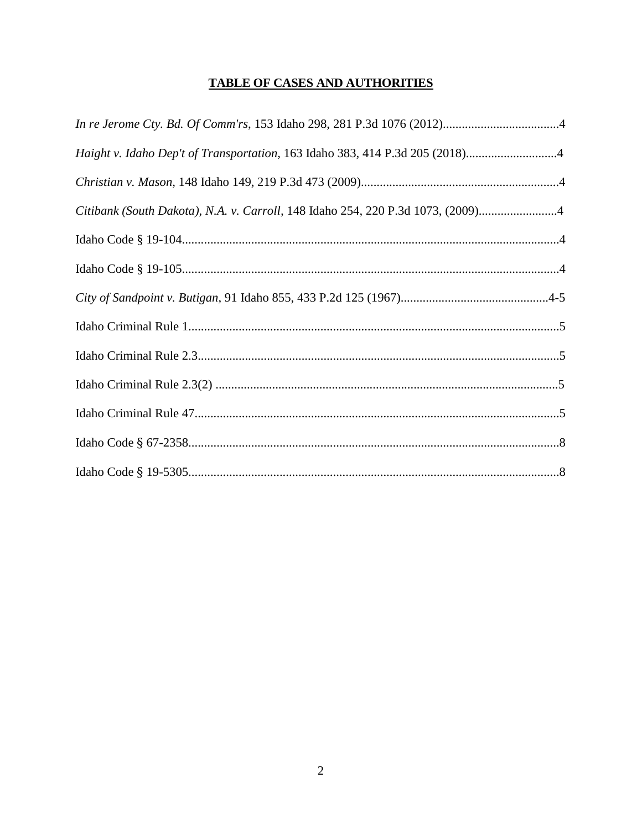# TABLE OF CASES AND AUTHORITIES

| Haight v. Idaho Dep't of Transportation, 163 Idaho 383, 414 P.3d 205 (2018)4    |  |
|---------------------------------------------------------------------------------|--|
|                                                                                 |  |
| Citibank (South Dakota), N.A. v. Carroll, 148 Idaho 254, 220 P.3d 1073, (2009)4 |  |
|                                                                                 |  |
|                                                                                 |  |
|                                                                                 |  |
|                                                                                 |  |
|                                                                                 |  |
|                                                                                 |  |
|                                                                                 |  |
|                                                                                 |  |
|                                                                                 |  |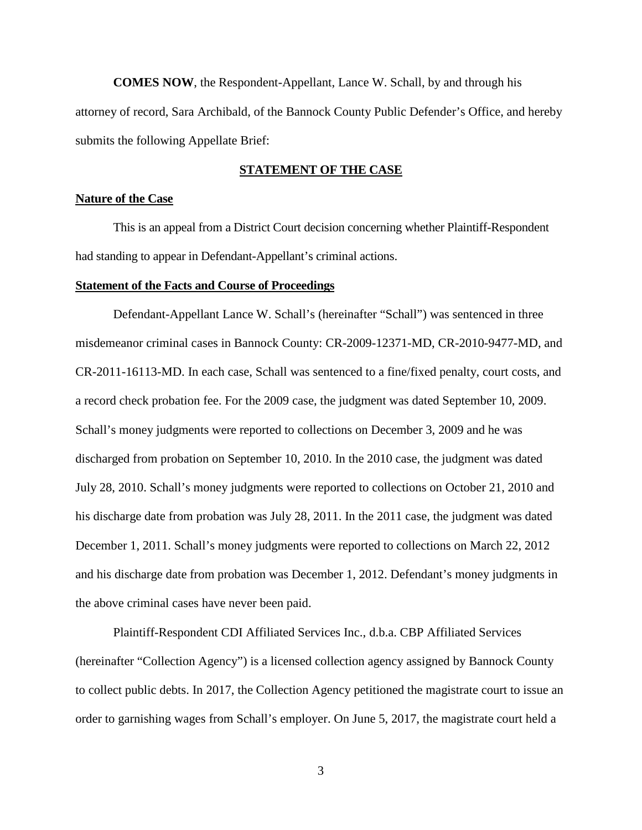**COMES NOW**, the Respondent-Appellant, Lance W. Schall, by and through his attorney of record, Sara Archibald, of the Bannock County Public Defender's Office, and hereby submits the following Appellate Brief:

## **STATEMENT OF THE CASE**

#### **Nature of the Case**

This is an appeal from a District Court decision concerning whether Plaintiff-Respondent had standing to appear in Defendant-Appellant's criminal actions.

#### **Statement of the Facts and Course of Proceedings**

Defendant-Appellant Lance W. Schall's (hereinafter "Schall") was sentenced in three misdemeanor criminal cases in Bannock County: CR-2009-12371-MD, CR-2010-9477-MD, and CR-2011-16113-MD. In each case, Schall was sentenced to a fine/fixed penalty, court costs, and a record check probation fee. For the 2009 case, the judgment was dated September 10, 2009. Schall's money judgments were reported to collections on December 3, 2009 and he was discharged from probation on September 10, 2010. In the 2010 case, the judgment was dated July 28, 2010. Schall's money judgments were reported to collections on October 21, 2010 and his discharge date from probation was July 28, 2011. In the 2011 case, the judgment was dated December 1, 2011. Schall's money judgments were reported to collections on March 22, 2012 and his discharge date from probation was December 1, 2012. Defendant's money judgments in the above criminal cases have never been paid.

Plaintiff-Respondent CDI Affiliated Services Inc., d.b.a. CBP Affiliated Services (hereinafter "Collection Agency") is a licensed collection agency assigned by Bannock County to collect public debts. In 2017, the Collection Agency petitioned the magistrate court to issue an order to garnishing wages from Schall's employer. On June 5, 2017, the magistrate court held a

3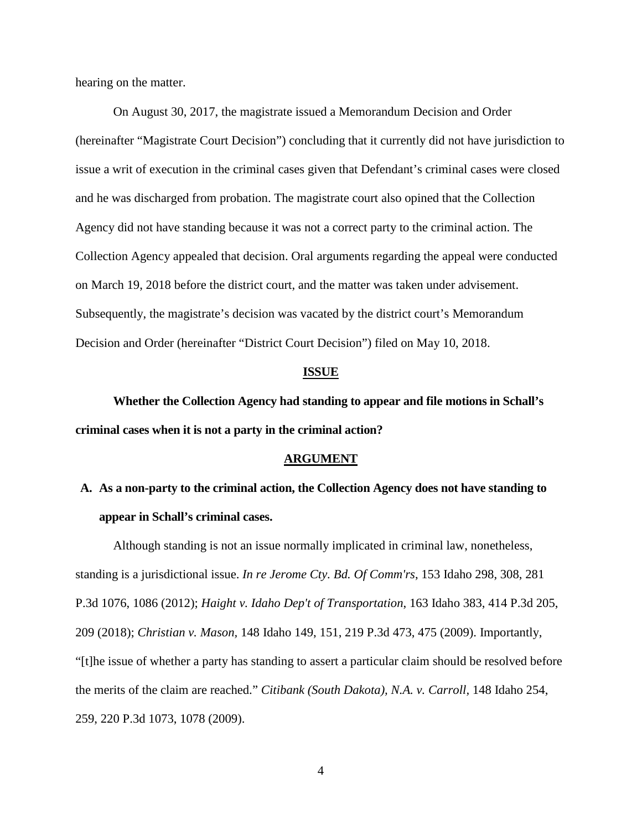hearing on the matter.

On August 30, 2017, the magistrate issued a Memorandum Decision and Order (hereinafter "Magistrate Court Decision") concluding that it currently did not have jurisdiction to issue a writ of execution in the criminal cases given that Defendant's criminal cases were closed and he was discharged from probation. The magistrate court also opined that the Collection Agency did not have standing because it was not a correct party to the criminal action. The Collection Agency appealed that decision. Oral arguments regarding the appeal were conducted on March 19, 2018 before the district court, and the matter was taken under advisement. Subsequently, the magistrate's decision was vacated by the district court's Memorandum Decision and Order (hereinafter "District Court Decision") filed on May 10, 2018.

#### **ISSUE**

**Whether the Collection Agency had standing to appear and file motions in Schall's criminal cases when it is not a party in the criminal action?** 

#### **ARGUMENT**

# **A. As a non-party to the criminal action, the Collection Agency does not have standing to appear in Schall's criminal cases.**

Although standing is not an issue normally implicated in criminal law, nonetheless, standing is a jurisdictional issue. *In re Jerome Cty. Bd. Of Comm'rs*, 153 Idaho 298, 308, 281 P.3d 1076, 1086 (2012); *Haight v. Idaho Dep't of Transportation*, 163 Idaho 383, 414 P.3d 205, 209 (2018); *Christian v. Mason,* 148 Idaho 149, 151, 219 P.3d 473, 475 (2009). Importantly, "[t]he issue of whether a party has standing to assert a particular claim should be resolved before the merits of the claim are reached." *Citibank (South Dakota), N.A. v. Carroll,* 148 Idaho 254, 259, 220 P.3d 1073, 1078 (2009).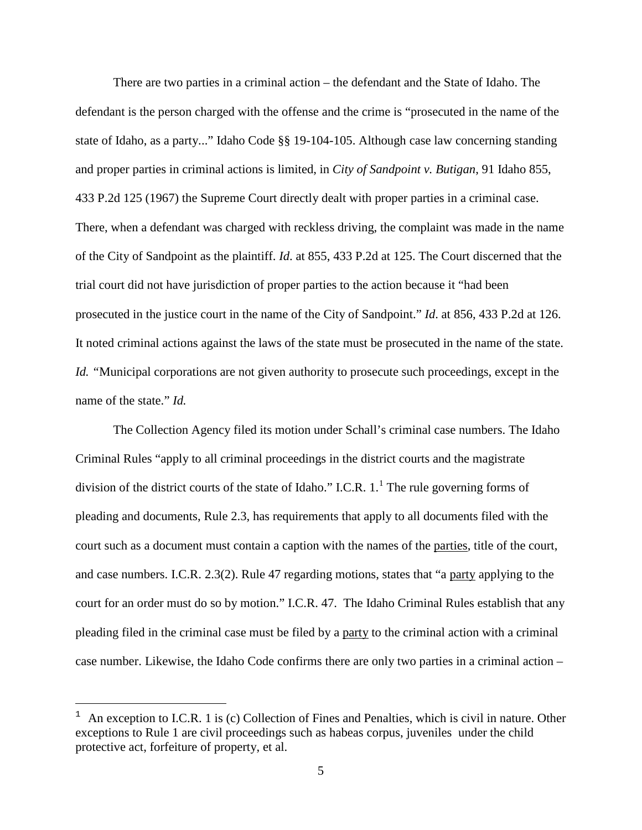There are two parties in a criminal action – the defendant and the State of Idaho. The defendant is the person charged with the offense and the crime is "prosecuted in the name of the state of Idaho, as a party..." Idaho Code §§ 19-104-105. Although case law concerning standing and proper parties in criminal actions is limited, in *City of Sandpoint v. Butigan*, 91 Idaho 855, 433 P.2d 125 (1967) the Supreme Court directly dealt with proper parties in a criminal case. There, when a defendant was charged with reckless driving, the complaint was made in the name of the City of Sandpoint as the plaintiff. *Id*. at 855, 433 P.2d at 125. The Court discerned that the trial court did not have jurisdiction of proper parties to the action because it "had been prosecuted in the justice court in the name of the City of Sandpoint." *Id*. at 856, 433 P.2d at 126. It noted criminal actions against the laws of the state must be prosecuted in the name of the state. *Id. "*Municipal corporations are not given authority to prosecute such proceedings, except in the name of the state." *Id.* 

The Collection Agency filed its motion under Schall's criminal case numbers. The Idaho Criminal Rules "apply to all criminal proceedings in the district courts and the magistrate division of the district courts of the state of Idaho." I.C.R.  $1.^1$  $1.^1$  The rule governing forms of pleading and documents, Rule 2.3, has requirements that apply to all documents filed with the court such as a document must contain a caption with the names of the parties, title of the court, and case numbers. I.C.R. 2.3(2). Rule 47 regarding motions, states that "a party applying to the court for an order must do so by motion." I.C.R. 47. The Idaho Criminal Rules establish that any pleading filed in the criminal case must be filed by a party to the criminal action with a criminal case number. Likewise, the Idaho Code confirms there are only two parties in a criminal action –

ī

An exception to I.C.R. 1 is (c) Collection of Fines and Penalties, which is civil in nature. Other exceptions to Rule 1 are civil proceedings such as habeas corpus, juveniles under the child protective act, forfeiture of property, et al.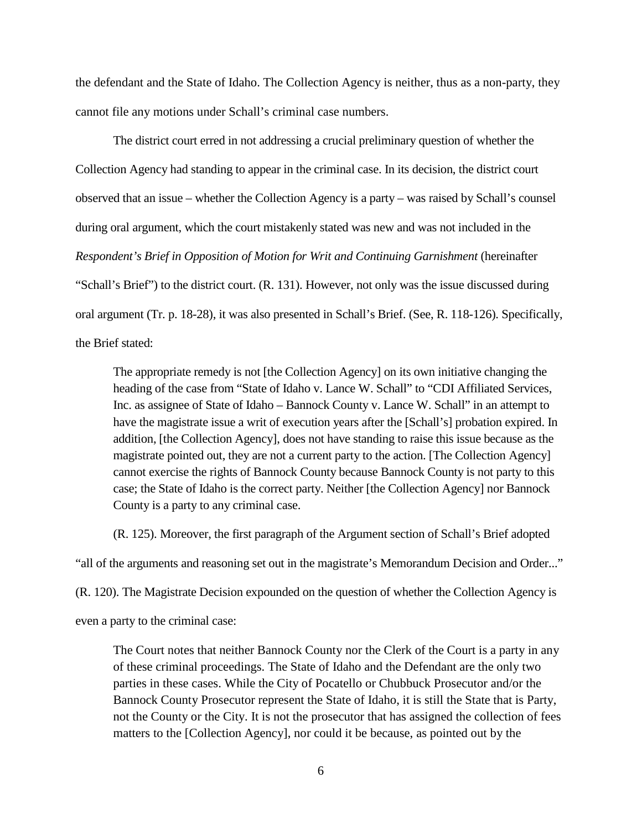the defendant and the State of Idaho. The Collection Agency is neither, thus as a non-party, they cannot file any motions under Schall's criminal case numbers.

The district court erred in not addressing a crucial preliminary question of whether the Collection Agency had standing to appear in the criminal case. In its decision, the district court observed that an issue – whether the Collection Agency is a party – was raised by Schall's counsel during oral argument, which the court mistakenly stated was new and was not included in the *Respondent's Brief in Opposition of Motion for Writ and Continuing Garnishment* (hereinafter "Schall's Brief") to the district court. (R. 131). However, not only was the issue discussed during oral argument (Tr. p. 18-28), it was also presented in Schall's Brief. (See, R. 118-126). Specifically, the Brief stated:

The appropriate remedy is not [the Collection Agency] on its own initiative changing the heading of the case from "State of Idaho v. Lance W. Schall" to "CDI Affiliated Services, Inc. as assignee of State of Idaho – Bannock County v. Lance W. Schall" in an attempt to have the magistrate issue a writ of execution years after the [Schall's] probation expired. In addition, [the Collection Agency], does not have standing to raise this issue because as the magistrate pointed out, they are not a current party to the action. [The Collection Agency] cannot exercise the rights of Bannock County because Bannock County is not party to this case; the State of Idaho is the correct party. Neither [the Collection Agency] nor Bannock County is a party to any criminal case.

(R. 125). Moreover, the first paragraph of the Argument section of Schall's Brief adopted

"all of the arguments and reasoning set out in the magistrate's Memorandum Decision and Order..."

(R. 120). The Magistrate Decision expounded on the question of whether the Collection Agency is

even a party to the criminal case:

The Court notes that neither Bannock County nor the Clerk of the Court is a party in any of these criminal proceedings. The State of Idaho and the Defendant are the only two parties in these cases. While the City of Pocatello or Chubbuck Prosecutor and/or the Bannock County Prosecutor represent the State of Idaho, it is still the State that is Party, not the County or the City. It is not the prosecutor that has assigned the collection of fees matters to the [Collection Agency], nor could it be because, as pointed out by the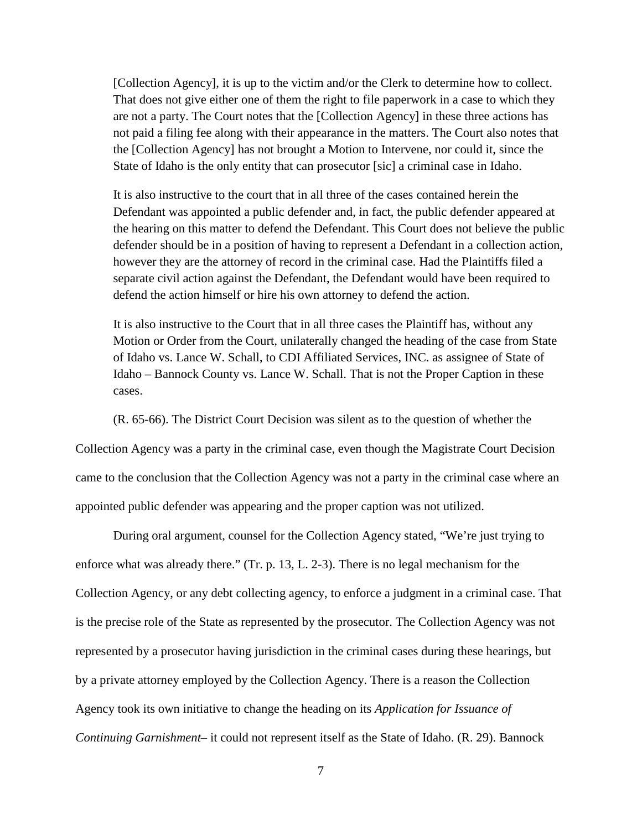[Collection Agency], it is up to the victim and/or the Clerk to determine how to collect. That does not give either one of them the right to file paperwork in a case to which they are not a party. The Court notes that the [Collection Agency] in these three actions has not paid a filing fee along with their appearance in the matters. The Court also notes that the [Collection Agency] has not brought a Motion to Intervene, nor could it, since the State of Idaho is the only entity that can prosecutor [sic] a criminal case in Idaho.

It is also instructive to the court that in all three of the cases contained herein the Defendant was appointed a public defender and, in fact, the public defender appeared at the hearing on this matter to defend the Defendant. This Court does not believe the public defender should be in a position of having to represent a Defendant in a collection action, however they are the attorney of record in the criminal case. Had the Plaintiffs filed a separate civil action against the Defendant, the Defendant would have been required to defend the action himself or hire his own attorney to defend the action.

It is also instructive to the Court that in all three cases the Plaintiff has, without any Motion or Order from the Court, unilaterally changed the heading of the case from State of Idaho vs. Lance W. Schall, to CDI Affiliated Services, INC. as assignee of State of Idaho – Bannock County vs. Lance W. Schall. That is not the Proper Caption in these cases.

(R. 65-66). The District Court Decision was silent as to the question of whether the Collection Agency was a party in the criminal case, even though the Magistrate Court Decision came to the conclusion that the Collection Agency was not a party in the criminal case where an appointed public defender was appearing and the proper caption was not utilized.

 During oral argument, counsel for the Collection Agency stated, "We're just trying to enforce what was already there." (Tr. p. 13, L. 2-3). There is no legal mechanism for the Collection Agency, or any debt collecting agency, to enforce a judgment in a criminal case. That is the precise role of the State as represented by the prosecutor. The Collection Agency was not represented by a prosecutor having jurisdiction in the criminal cases during these hearings, but by a private attorney employed by the Collection Agency. There is a reason the Collection Agency took its own initiative to change the heading on its *Application for Issuance of Continuing Garnishment*– it could not represent itself as the State of Idaho. (R. 29). Bannock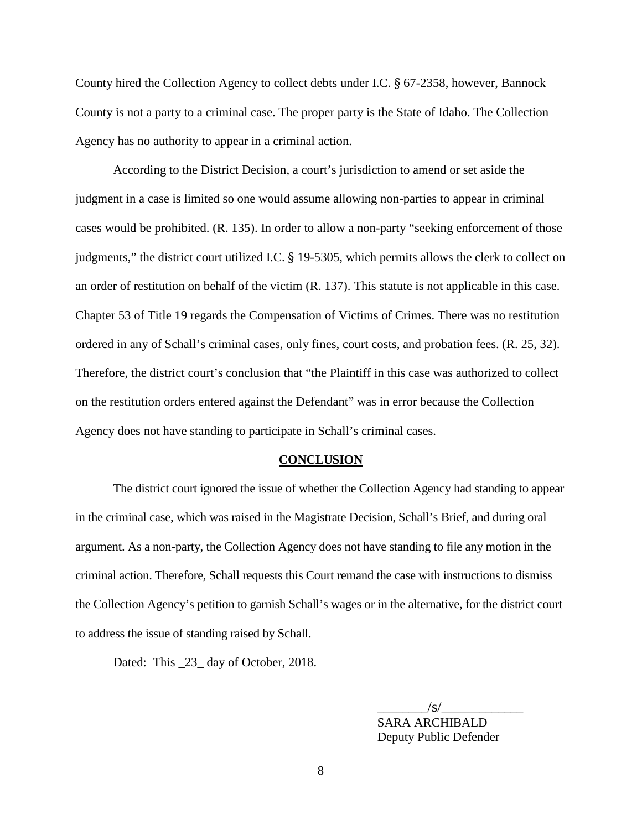County hired the Collection Agency to collect debts under I.C. § 67-2358, however, Bannock County is not a party to a criminal case. The proper party is the State of Idaho. The Collection Agency has no authority to appear in a criminal action.

According to the District Decision, a court's jurisdiction to amend or set aside the judgment in a case is limited so one would assume allowing non-parties to appear in criminal cases would be prohibited. (R. 135). In order to allow a non-party "seeking enforcement of those judgments," the district court utilized I.C. § 19-5305, which permits allows the clerk to collect on an order of restitution on behalf of the victim (R. 137). This statute is not applicable in this case. Chapter 53 of Title 19 regards the Compensation of Victims of Crimes. There was no restitution ordered in any of Schall's criminal cases, only fines, court costs, and probation fees. (R. 25, 32). Therefore, the district court's conclusion that "the Plaintiff in this case was authorized to collect on the restitution orders entered against the Defendant" was in error because the Collection Agency does not have standing to participate in Schall's criminal cases.

#### **CONCLUSION**

The district court ignored the issue of whether the Collection Agency had standing to appear in the criminal case, which was raised in the Magistrate Decision, Schall's Brief, and during oral argument. As a non-party, the Collection Agency does not have standing to file any motion in the criminal action. Therefore, Schall requests this Court remand the case with instructions to dismiss the Collection Agency's petition to garnish Schall's wages or in the alternative, for the district court to address the issue of standing raised by Schall.

Dated: This \_23\_ day of October, 2018.

 $\frac{1}{s}$  SARA ARCHIBALD Deputy Public Defender